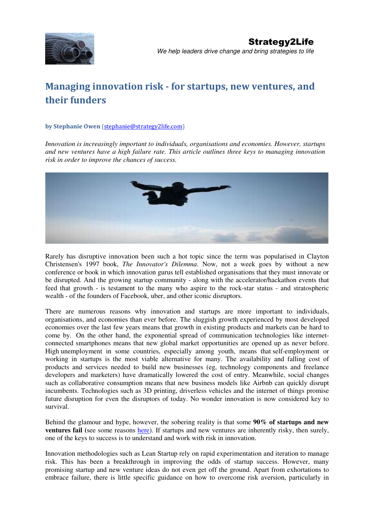

# Managing innovation risk - for startups, new ventures, and their funders

#### by Stephanie Owen (stephanie@strategy2life.com)

*Innovation is increasingly important to individuals, organisations and economies. However, startups and new ventures have a high failure rate. This article outlines three keys to managing innovation risk in order to improve the chances of success.* 



Rarely has disruptive innovation been such a hot topic since the term was popularised in Clayton Christensen's 1997 book, *The Innovator's Dilemma*. Now, not a week goes by without a new conference or book in which innovation gurus tell established organisations that they must innovate or be disrupted. And the growing startup community - along with the accelerator/hackathon events that feed that growth - is testament to the many who aspire to the rock-star status - and stratospheric wealth - of the founders of Facebook, uber, and other iconic disruptors.

There are numerous reasons why innovation and startups are more important to individuals, organisations, and economies than ever before. The sluggish growth experienced by most developed economies over the last few years means that growth in existing products and markets can be hard to come by. On the other hand, the exponential spread of communication technologies like internetconnected smartphones means that new global market opportunities are opened up as never before. High unemployment in some countries, especially among youth, means that self-employment or working in startups is the most viable alternative for many. The availability and falling cost of products and services needed to build new businesses (eg, technology components and freelance developers and marketers) have dramatically lowered the cost of entry. Meanwhile, social changes such as collaborative consumption means that new business models like Airbnb can quickly disrupt incumbents. Technologies such as 3D printing, driverless vehicles and the internet of things promise future disruption for even the disruptors of today. No wonder innovation is now considered key to survival.

Behind the glamour and hype, however, the sobering reality is that some **90% of startups and new ventures fail** (see some reasons here). If startups and new ventures are inherently risky, then surely, one of the keys to success is to understand and work with risk in innovation.

Innovation methodologies such as Lean Startup rely on rapid experimentation and iteration to manage risk. This has been a breakthrough in improving the odds of startup success. However, many promising startup and new venture ideas do not even get off the ground. Apart from exhortations to embrace failure, there is little specific guidance on how to overcome risk aversion, particularly in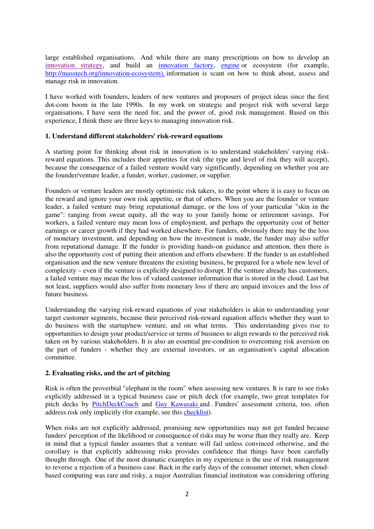large established organisations. And while there are many prescriptions on how to develop an innovation strategy, and build an innovation factory, engine or ecosystem (for example, http://masstech.org/innovation-ecosystem), information is scant on how to think about, assess and manage risk in innovation.

I have worked with founders, leaders of new ventures and proposers of project ideas since the first dot-com boom in the late 1990s. In my work on strategic and project risk with several large organisations, I have seen the need for, and the power of, good risk management. Based on this experience, I think there are three keys to managing innovation risk.

### **1. Understand different stakeholders' risk-reward equations**

A starting point for thinking about risk in innovation is to understand stakeholders' varying riskreward equations. This includes their appetites for risk (the type and level of risk they will accept), because the consequence of a failed venture would vary significantly, depending on whether you are the founder/venture leader, a funder, worker, customer, or supplier.

Founders or venture leaders are mostly optimistic risk takers, to the point where it is easy to focus on the reward and ignore your own risk appetite, or that of others. When you are the founder or venture leader, a failed venture may bring reputational damage, or the loss of your particular "skin in the game": ranging from sweat equity, all the way to your family home or retirement savings. For workers, a failed venture may mean loss of employment, and perhaps the opportunity cost of better earnings or career growth if they had worked elsewhere. For funders, obviously there may be the loss of monetary investment, and depending on how the investment is made, the funder may also suffer from reputational damage. If the funder is providing hands-on guidance and attention, then there is also the opportunity cost of putting their attention and efforts elsewhere. If the funder is an established organisation and the new venture threatens the existing business, be prepared for a whole new level of complexity – even if the venture is explicitly designed to disrupt. If the venture already has customers, a failed venture may mean the loss of valued customer information that is stored in the cloud. Last but not least, suppliers would also suffer from monetary loss if there are unpaid invoices and the loss of future business.

Understanding the varying risk-reward equations of your stakeholders is akin to understanding your target customer segments, because their perceived risk-reward equation affects whether they want to do business with the startup/new venture, and on what terms. This understanding gives rise to opportunities to design your product/service or terms of business to align rewards to the perceived risk taken on by various stakeholders. It is also an essential pre-condition to overcoming risk aversion on the part of funders - whether they are external investors, or an organisation's capital allocation committee.

## **2. Evaluating risks, and the art of pitching**

Risk is often the proverbial "elephant in the room" when assessing new ventures. It is rare to see risks explicitly addressed in a typical business case or pitch deck (for example, two great templates for pitch decks by PitchDeckCoach and Guy Kawasaki and . Funders' assessment criteria, too, often address risk only implicitly (for example, see this checklist).

When risks are not explicitly addressed, promising new opportunities may not get funded because funders' perception of the likelihood or consequence of risks may be worse than they really are. Keep in mind that a typical funder assumes that a venture will fail unless convinced otherwise, and the corollary is that explicitly addressing risks provides confidence that things have been carefully thought through. One of the most dramatic examples in my experience is the use of risk management to reverse a rejection of a business case. Back in the early days of the consumer internet, when cloudbased computing was rare and risky, a major Australian financial institution was considering offering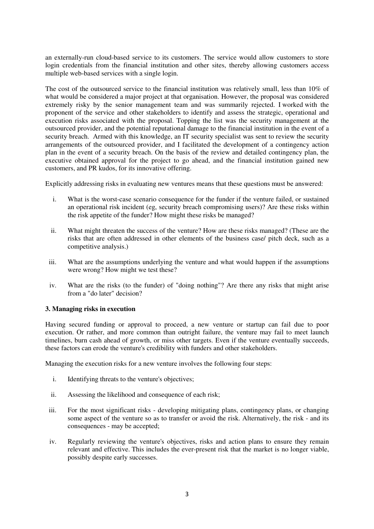an externally-run cloud-based service to its customers. The service would allow customers to store login credentials from the financial institution and other sites, thereby allowing customers access multiple web-based services with a single login.

The cost of the outsourced service to the financial institution was relatively small, less than 10% of what would be considered a major project at that organisation. However, the proposal was considered extremely risky by the senior management team and was summarily rejected. I worked with the proponent of the service and other stakeholders to identify and assess the strategic, operational and execution risks associated with the proposal. Topping the list was the security management at the outsourced provider, and the potential reputational damage to the financial institution in the event of a security breach. Armed with this knowledge, an IT security specialist was sent to review the security arrangements of the outsourced provider, and I facilitated the development of a contingency action plan in the event of a security breach. On the basis of the review and detailed contingency plan, the executive obtained approval for the project to go ahead, and the financial institution gained new customers, and PR kudos, for its innovative offering.

Explicitly addressing risks in evaluating new ventures means that these questions must be answered:

- i. What is the worst-case scenario consequence for the funder if the venture failed, or sustained an operational risk incident (eg, security breach compromising users)? Are these risks within the risk appetite of the funder? How might these risks be managed?
- ii. What might threaten the success of the venture? How are these risks managed? (These are the risks that are often addressed in other elements of the business case/ pitch deck, such as a competitive analysis.)
- iii. What are the assumptions underlying the venture and what would happen if the assumptions were wrong? How might we test these?
- iv. What are the risks (to the funder) of "doing nothing"? Are there any risks that might arise from a "do later" decision?

### **3. Managing risks in execution**

Having secured funding or approval to proceed, a new venture or startup can fail due to poor execution. Or rather, and more common than outright failure, the venture may fail to meet launch timelines, burn cash ahead of growth, or miss other targets. Even if the venture eventually succeeds, these factors can erode the venture's credibility with funders and other stakeholders.

Managing the execution risks for a new venture involves the following four steps:

- i. Identifying threats to the venture's objectives;
- ii. Assessing the likelihood and consequence of each risk;
- iii. For the most significant risks developing mitigating plans, contingency plans, or changing some aspect of the venture so as to transfer or avoid the risk. Alternatively, the risk - and its consequences - may be accepted;
- iv. Regularly reviewing the venture's objectives, risks and action plans to ensure they remain relevant and effective. This includes the ever-present risk that the market is no longer viable, possibly despite early successes.